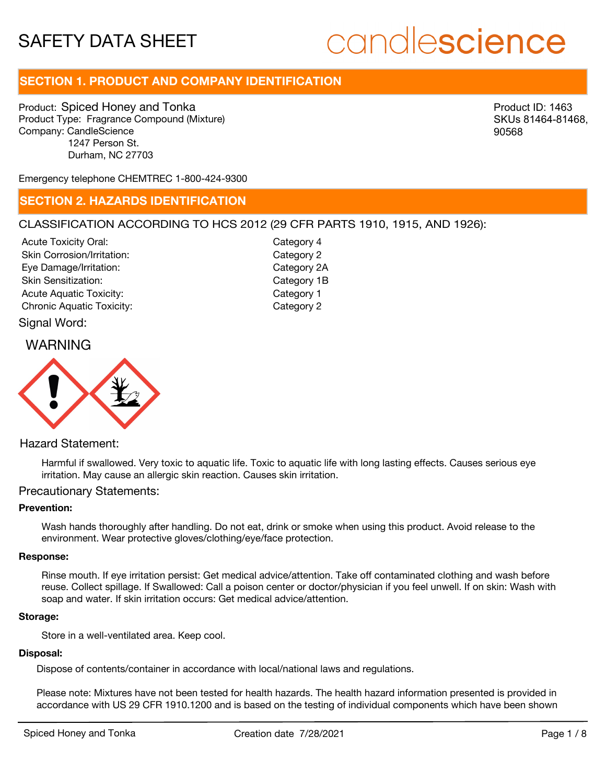# candlescience

# **SECTION 1. PRODUCT AND COMPANY IDENTIFICATION**

Product: Spiced Honey and Tonka Product Type: Fragrance Compound (Mixture) Company: CandleScience 1247 Person St. Durham, NC 27703

Product ID: 1463 SKUs 81464-81468, 90568

Emergency telephone CHEMTREC 1-800-424-9300

# **SECTION 2. HAZARDS IDENTIFICATION**

# CLASSIFICATION ACCORDING TO HCS 2012 (29 CFR PARTS 1910, 1915, AND 1926):

Acute Toxicity Oral: Skin Corrosion/Irritation: Eye Damage/Irritation: Skin Sensitization: Acute Aquatic Toxicity: Category 1 Chronic Aquatic Toxicity: Chronic Aquatic Toxicity:

Category 4 Category 2 Category 2A Category 1B

# Signal Word:

# WARNING



# Hazard Statement:

Harmful if swallowed. Very toxic to aquatic life. Toxic to aquatic life with long lasting effects. Causes serious eye irritation. May cause an allergic skin reaction. Causes skin irritation.

### Precautionary Statements:

# **Prevention:**

Wash hands thoroughly after handling. Do not eat, drink or smoke when using this product. Avoid release to the environment. Wear protective gloves/clothing/eye/face protection.

#### **Response:**

Rinse mouth. If eye irritation persist: Get medical advice/attention. Take off contaminated clothing and wash before reuse. Collect spillage. If Swallowed: Call a poison center or doctor/physician if you feel unwell. If on skin: Wash with soap and water. If skin irritation occurs: Get medical advice/attention.

#### **Storage:**

Store in a well-ventilated area. Keep cool.

## **Disposal:**

Dispose of contents/container in accordance with local/national laws and regulations.

Please note: Mixtures have not been tested for health hazards. The health hazard information presented is provided in accordance with US 29 CFR 1910.1200 and is based on the testing of individual components which have been shown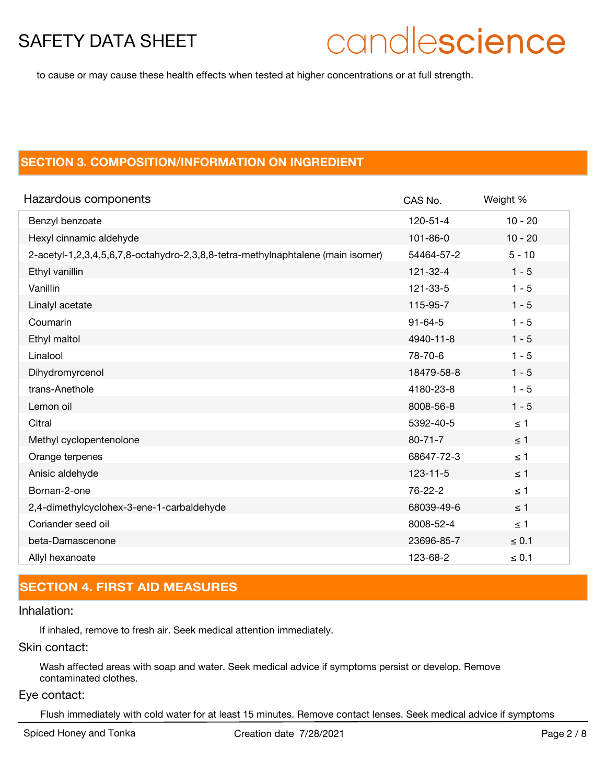# candlescience

to cause or may cause these health effects when tested at higher concentrations or at full strength.

# **SECTION 3. COMPOSITION/INFORMATION ON INGREDIENT**

| Hazardous components                                                            | CAS No.        | Weight %   |
|---------------------------------------------------------------------------------|----------------|------------|
| Benzyl benzoate                                                                 | $120 - 51 - 4$ | $10 - 20$  |
| Hexyl cinnamic aldehyde                                                         | $101 - 86 - 0$ | $10 - 20$  |
| 2-acetyl-1,2,3,4,5,6,7,8-octahydro-2,3,8,8-tetra-methylnaphtalene (main isomer) | 54464-57-2     | $5 - 10$   |
| Ethyl vanillin                                                                  | $121 - 32 - 4$ | $1 - 5$    |
| Vanillin                                                                        | 121-33-5       | $1 - 5$    |
| Linalyl acetate                                                                 | 115-95-7       | $1 - 5$    |
| Coumarin                                                                        | $91 - 64 - 5$  | $1 - 5$    |
| Ethyl maltol                                                                    | 4940-11-8      | $1 - 5$    |
| Linalool                                                                        | 78-70-6        | $1 - 5$    |
| Dihydromyrcenol                                                                 | 18479-58-8     | $1 - 5$    |
| trans-Anethole                                                                  | 4180-23-8      | $1 - 5$    |
| Lemon oil                                                                       | 8008-56-8      | $1 - 5$    |
| Citral                                                                          | 5392-40-5      | $\leq 1$   |
| Methyl cyclopentenolone                                                         | $80 - 71 - 7$  | $\leq$ 1   |
| Orange terpenes                                                                 | 68647-72-3     | $\leq$ 1   |
| Anisic aldehyde                                                                 | $123 - 11 - 5$ | $\leq$ 1   |
| Bornan-2-one                                                                    | 76-22-2        | $\leq 1$   |
| 2,4-dimethylcyclohex-3-ene-1-carbaldehyde                                       | 68039-49-6     | $\leq$ 1   |
| Coriander seed oil                                                              | 8008-52-4      | $\leq 1$   |
| beta-Damascenone                                                                | 23696-85-7     | $\leq 0.1$ |
| Allyl hexanoate                                                                 | 123-68-2       | $\leq 0.1$ |

# **SECTION 4. FIRST AID MEASURES**

# Inhalation:

If inhaled, remove to fresh air. Seek medical attention immediately.

# Skin contact:

Wash affected areas with soap and water. Seek medical advice if symptoms persist or develop. Remove contaminated clothes.

### Eye contact:

Flush immediately with cold water for at least 15 minutes. Remove contact lenses. Seek medical advice if symptoms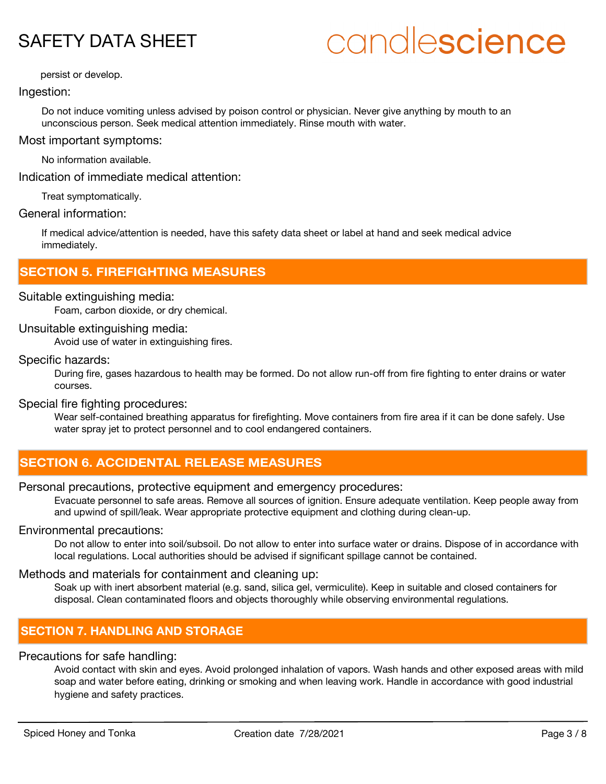# candlescience

persist or develop.

# Ingestion:

Do not induce vomiting unless advised by poison control or physician. Never give anything by mouth to an unconscious person. Seek medical attention immediately. Rinse mouth with water.

Most important symptoms:

No information available.

Indication of immediate medical attention:

Treat symptomatically.

# General information:

If medical advice/attention is needed, have this safety data sheet or label at hand and seek medical advice immediately.

# **SECTION 5. FIREFIGHTING MEASURES**

# Suitable extinguishing media:

Foam, carbon dioxide, or dry chemical.

# Unsuitable extinguishing media:

Avoid use of water in extinguishing fires.

### Specific hazards:

During fire, gases hazardous to health may be formed. Do not allow run-off from fire fighting to enter drains or water courses.

# Special fire fighting procedures:

Wear self-contained breathing apparatus for firefighting. Move containers from fire area if it can be done safely. Use water spray jet to protect personnel and to cool endangered containers.

# **SECTION 6. ACCIDENTAL RELEASE MEASURES**

# Personal precautions, protective equipment and emergency procedures:

Evacuate personnel to safe areas. Remove all sources of ignition. Ensure adequate ventilation. Keep people away from and upwind of spill/leak. Wear appropriate protective equipment and clothing during clean-up.

### Environmental precautions:

Do not allow to enter into soil/subsoil. Do not allow to enter into surface water or drains. Dispose of in accordance with local regulations. Local authorities should be advised if significant spillage cannot be contained.

## Methods and materials for containment and cleaning up:

Soak up with inert absorbent material (e.g. sand, silica gel, vermiculite). Keep in suitable and closed containers for disposal. Clean contaminated floors and objects thoroughly while observing environmental regulations.

# **SECTION 7. HANDLING AND STORAGE**

# Precautions for safe handling:

Avoid contact with skin and eyes. Avoid prolonged inhalation of vapors. Wash hands and other exposed areas with mild soap and water before eating, drinking or smoking and when leaving work. Handle in accordance with good industrial hygiene and safety practices.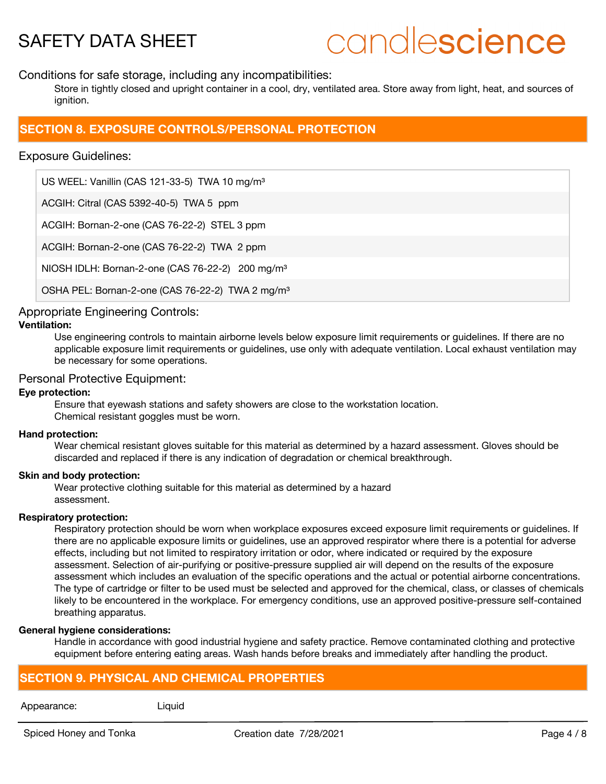# candlescience

Conditions for safe storage, including any incompatibilities:

Store in tightly closed and upright container in a cool, dry, ventilated area. Store away from light, heat, and sources of ianition.

# **SECTION 8. EXPOSURE CONTROLS/PERSONAL PROTECTION**

# Exposure Guidelines:

US WEEL: Vanillin (CAS 121-33-5) TWA 10 mg/m<sup>3</sup>

ACGIH: Citral (CAS 5392-40-5) TWA 5 ppm

ACGIH: Bornan-2-one (CAS 76-22-2) STEL 3 ppm

ACGIH: Bornan-2-one (CAS 76-22-2) TWA 2 ppm

NIOSH IDLH: Bornan-2-one (CAS 76-22-2) 200 mg/m³

OSHA PEL: Bornan-2-one (CAS 76-22-2) TWA 2 mg/m<sup>3</sup>

# Appropriate Engineering Controls:

# **Ventilation:**

Use engineering controls to maintain airborne levels below exposure limit requirements or guidelines. If there are no applicable exposure limit requirements or guidelines, use only with adequate ventilation. Local exhaust ventilation may be necessary for some operations.

# Personal Protective Equipment:

## **Eye protection:**

Ensure that eyewash stations and safety showers are close to the workstation location. Chemical resistant goggles must be worn.

#### **Hand protection:**

Wear chemical resistant gloves suitable for this material as determined by a hazard assessment. Gloves should be discarded and replaced if there is any indication of degradation or chemical breakthrough.

### **Skin and body protection:**

Wear protective clothing suitable for this material as determined by a hazard assessment.

### **Respiratory protection:**

Respiratory protection should be worn when workplace exposures exceed exposure limit requirements or quidelines. If there are no applicable exposure limits or guidelines, use an approved respirator where there is a potential for adverse effects, including but not limited to respiratory irritation or odor, where indicated or required by the exposure assessment. Selection of air-purifying or positive-pressure supplied air will depend on the results of the exposure assessment which includes an evaluation of the specific operations and the actual or potential airborne concentrations. The type of cartridge or filter to be used must be selected and approved for the chemical, class, or classes of chemicals likely to be encountered in the workplace. For emergency conditions, use an approved positive-pressure self-contained breathing apparatus.

### **General hygiene considerations:**

Handle in accordance with good industrial hygiene and safety practice. Remove contaminated clothing and protective equipment before entering eating areas. Wash hands before breaks and immediately after handling the product.

# **SECTION 9. PHYSICAL AND CHEMICAL PROPERTIES**

#### Appearance: Liquid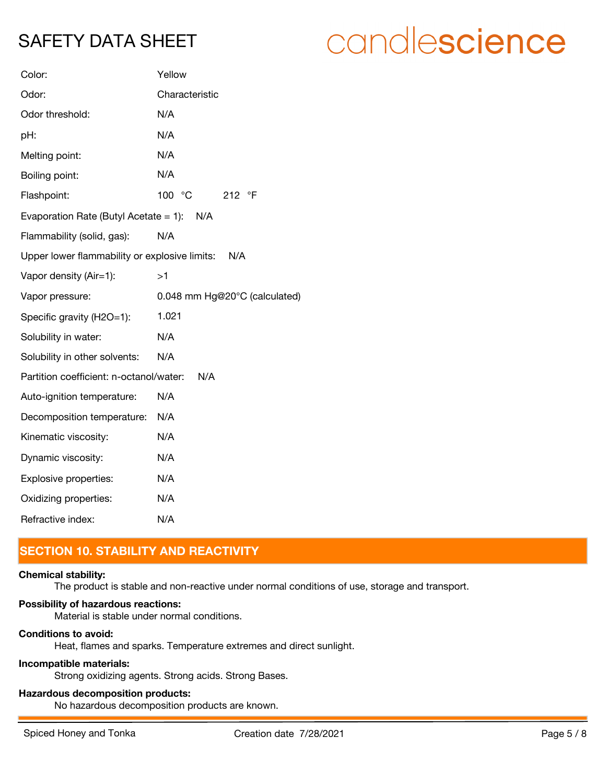# candlescience

| Color:                                        | Yellow                        |
|-----------------------------------------------|-------------------------------|
| Odor:                                         | Characteristic                |
| Odor threshold:                               | N/A                           |
| pH:                                           | N/A                           |
| Melting point:                                | N/A                           |
| Boiling point:                                | N/A                           |
| Flashpoint:                                   | 100 °C<br>212 °F              |
| Evaporation Rate (Butyl Acetate = 1): $N/A$   |                               |
| Flammability (solid, gas):                    | N/A                           |
| Upper lower flammability or explosive limits: | N/A                           |
| Vapor density (Air=1):                        | >1                            |
| Vapor pressure:                               | 0.048 mm Hg@20°C (calculated) |
| Specific gravity (H2O=1):                     | 1.021                         |
| Solubility in water:                          | N/A                           |
| Solubility in other solvents:                 | N/A                           |
| Partition coefficient: n-octanol/water:       | N/A                           |
| Auto-ignition temperature:                    | N/A                           |
| Decomposition temperature:                    | N/A                           |
| Kinematic viscosity:                          | N/A                           |
| Dynamic viscosity:                            | N/A                           |
| Explosive properties:                         | N/A                           |
| Oxidizing properties:                         | N/A                           |
| Refractive index:                             | N/A                           |

# **SECTION 10. STABILITY AND REACTIVITY**

### **Chemical stability:**

The product is stable and non-reactive under normal conditions of use, storage and transport.

# **Possibility of hazardous reactions:**

Material is stable under normal conditions.

# **Conditions to avoid:**

Heat, flames and sparks. Temperature extremes and direct sunlight.

# **Incompatible materials:**

Strong oxidizing agents. Strong acids. Strong Bases.

# **Hazardous decomposition products:**

No hazardous decomposition products are known.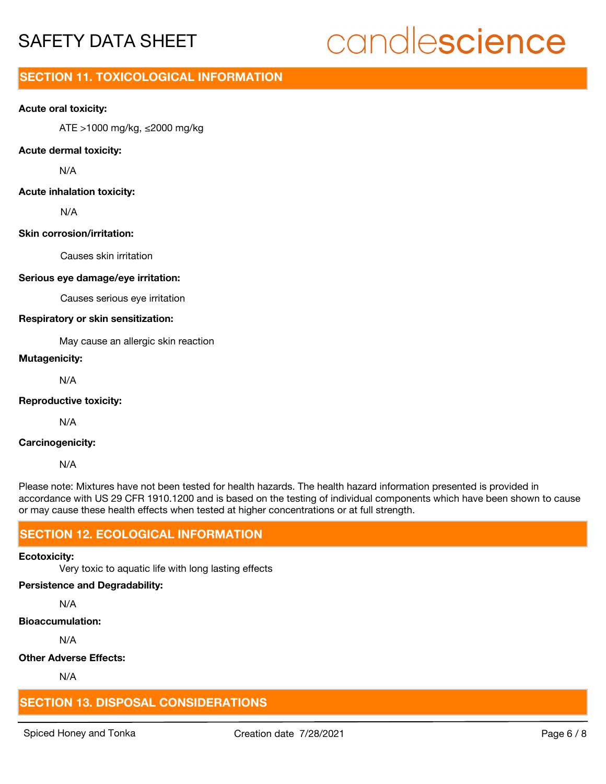# candlescience

# **SECTION 11. TOXICOLOGICAL INFORMATION**

### **Acute oral toxicity:**

ATE >1000 mg/kg, ≤2000 mg/kg

#### **Acute dermal toxicity:**

N/A

# **Acute inhalation toxicity:**

N/A

#### **Skin corrosion/irritation:**

Causes skin irritation

#### **Serious eye damage/eye irritation:**

Causes serious eye irritation

#### **Respiratory or skin sensitization:**

May cause an allergic skin reaction

# **Mutagenicity:**

N/A

### **Reproductive toxicity:**

N/A

# **Carcinogenicity:**

N/A

Please note: Mixtures have not been tested for health hazards. The health hazard information presented is provided in accordance with US 29 CFR 1910.1200 and is based on the testing of individual components which have been shown to cause or may cause these health effects when tested at higher concentrations or at full strength.

# **SECTION 12. ECOLOGICAL INFORMATION**

### **Ecotoxicity:**

Very toxic to aquatic life with long lasting effects

#### **Persistence and Degradability:**

N/A

# **Bioaccumulation:**

N/A

### **Other Adverse Effects:**

N/A

# **SECTION 13. DISPOSAL CONSIDERATIONS**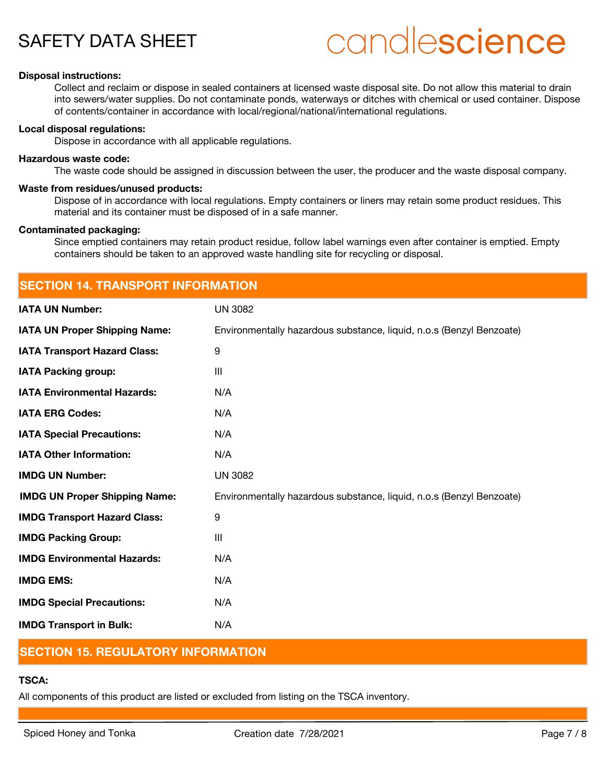# candlescience

### **Disposal instructions:**

Collect and reclaim or dispose in sealed containers at licensed waste disposal site. Do not allow this material to drain into sewers/water supplies. Do not contaminate ponds, waterways or ditches with chemical or used container. Dispose of contents/container in accordance with local/regional/national/international regulations.

#### **Local disposal regulations:**

Dispose in accordance with all applicable regulations.

#### **Hazardous waste code:**

The waste code should be assigned in discussion between the user, the producer and the waste disposal company.

#### **Waste from residues/unused products:**

Dispose of in accordance with local regulations. Empty containers or liners may retain some product residues. This material and its container must be disposed of in a safe manner.

#### **Contaminated packaging:**

Since emptied containers may retain product residue, follow label warnings even after container is emptied. Empty containers should be taken to an approved waste handling site for recycling or disposal.

| <b>SECTION 14. TRANSPORT INFORMATION</b> |                                                                      |  |
|------------------------------------------|----------------------------------------------------------------------|--|
| <b>IATA UN Number:</b>                   | <b>UN 3082</b>                                                       |  |
| <b>IATA UN Proper Shipping Name:</b>     | Environmentally hazardous substance, liquid, n.o.s (Benzyl Benzoate) |  |
| <b>IATA Transport Hazard Class:</b>      | 9                                                                    |  |
| <b>IATA Packing group:</b>               | III                                                                  |  |
| <b>IATA Environmental Hazards:</b>       | N/A                                                                  |  |
| <b>IATA ERG Codes:</b>                   | N/A                                                                  |  |
| <b>IATA Special Precautions:</b>         | N/A                                                                  |  |
| <b>IATA Other Information:</b>           | N/A                                                                  |  |
| <b>IMDG UN Number:</b>                   | <b>UN 3082</b>                                                       |  |
| <b>IMDG UN Proper Shipping Name:</b>     | Environmentally hazardous substance, liquid, n.o.s (Benzyl Benzoate) |  |
| <b>IMDG Transport Hazard Class:</b>      | 9                                                                    |  |
| <b>IMDG Packing Group:</b>               | III                                                                  |  |
| <b>IMDG Environmental Hazards:</b>       | N/A                                                                  |  |
| <b>IMDG EMS:</b>                         | N/A                                                                  |  |
| <b>IMDG Special Precautions:</b>         | N/A                                                                  |  |
| <b>IMDG Transport in Bulk:</b>           | N/A                                                                  |  |

# **SECTION 15. REGULATORY INFORMATION**

# **TSCA:**

All components of this product are listed or excluded from listing on the TSCA inventory.